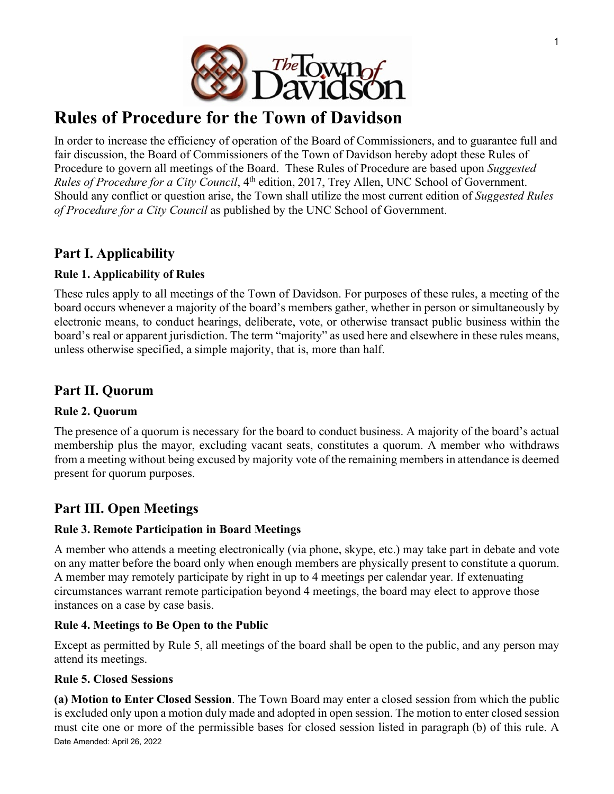

# **Rules of Procedure for the Town of Davidson**

In order to increase the efficiency of operation of the Board of Commissioners, and to guarantee full and fair discussion, the Board of Commissioners of the Town of Davidson hereby adopt these Rules of Procedure to govern all meetings of the Board. These Rules of Procedure are based upon *Suggested Rules of Procedure for a City Council*, 4<sup>th</sup> edition, 2017, Trey Allen, UNC School of Government. Should any conflict or question arise, the Town shall utilize the most current edition of *Suggested Rules of Procedure for a City Council* as published by the UNC School of Government.

# **Part I. Applicability**

#### **Rule 1. Applicability of Rules**

These rules apply to all meetings of the Town of Davidson. For purposes of these rules, a meeting of the board occurs whenever a majority of the board's members gather, whether in person or simultaneously by electronic means, to conduct hearings, deliberate, vote, or otherwise transact public business within the board's real or apparent jurisdiction. The term "majority" as used here and elsewhere in these rules means, unless otherwise specified, a simple majority, that is, more than half.

### **Part II. Quorum**

#### **Rule 2. Quorum**

The presence of a quorum is necessary for the board to conduct business. A majority of the board's actual membership plus the mayor, excluding vacant seats, constitutes a quorum. A member who withdraws from a meeting without being excused by majority vote of the remaining members in attendance is deemed present for quorum purposes.

# **Part III. Open Meetings**

#### **Rule 3. Remote Participation in Board Meetings**

A member who attends a meeting electronically (via phone, skype, etc.) may take part in debate and vote on any matter before the board only when enough members are physically present to constitute a quorum. A member may remotely participate by right in up to 4 meetings per calendar year. If extenuating circumstances warrant remote participation beyond 4 meetings, the board may elect to approve those instances on a case by case basis.

#### **Rule 4. Meetings to Be Open to the Public**

Except as permitted by Rule 5, all meetings of the board shall be open to the public, and any person may attend its meetings.

#### **Rule 5. Closed Sessions**

Date Amended: April 26, 2022 **(a) Motion to Enter Closed Session**. The Town Board may enter a closed session from which the public is excluded only upon a motion duly made and adopted in open session. The motion to enter closed session must cite one or more of the permissible bases for closed session listed in paragraph (b) of this rule. A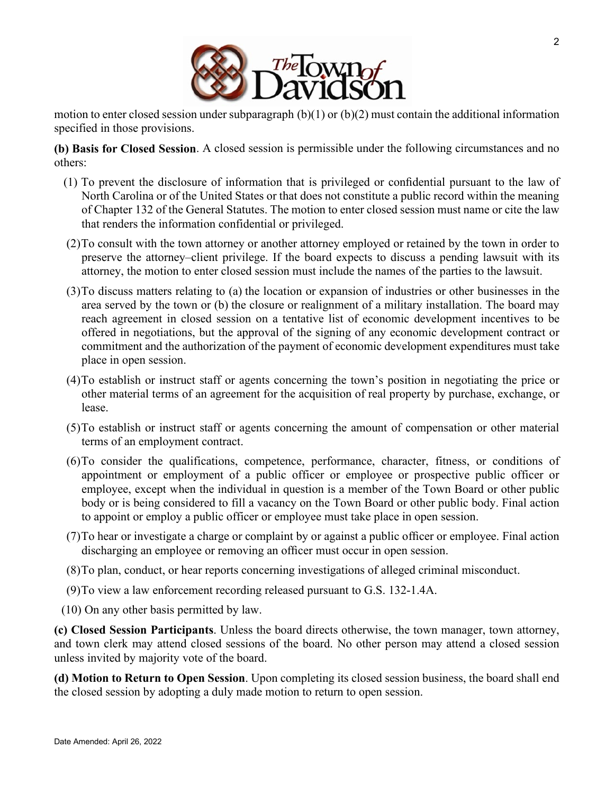

motion to enter closed session under subparagraph  $(b)(1)$  or  $(b)(2)$  must contain the additional information specified in those provisions.

**(b) Basis for Closed Session**. A closed session is permissible under the following circumstances and no others:

- (1) To prevent the disclosure of information that is privileged or confidential pursuant to the law of North Carolina or of the United States or that does not constitute a public record within the meaning of Chapter 132 of the General Statutes. The motion to enter closed session must name or cite the law that renders the information confidential or privileged.
- (2)To consult with the town attorney or another attorney employed or retained by the town in order to preserve the attorney–client privilege. If the board expects to discuss a pending lawsuit with its attorney, the motion to enter closed session must include the names of the parties to the lawsuit.
- (3)To discuss matters relating to (a) the location or expansion of industries or other businesses in the area served by the town or (b) the closure or realignment of a military installation. The board may reach agreement in closed session on a tentative list of economic development incentives to be offered in negotiations, but the approval of the signing of any economic development contract or commitment and the authorization of the payment of economic development expenditures must take place in open session.
- (4)To establish or instruct staff or agents concerning the town's position in negotiating the price or other material terms of an agreement for the acquisition of real property by purchase, exchange, or lease.
- (5)To establish or instruct staff or agents concerning the amount of compensation or other material terms of an employment contract.
- (6)To consider the qualifications, competence, performance, character, fitness, or conditions of appointment or employment of a public officer or employee or prospective public officer or employee, except when the individual in question is a member of the Town Board or other public body or is being considered to fill a vacancy on the Town Board or other public body. Final action to appoint or employ a public officer or employee must take place in open session.
- (7)To hear or investigate a charge or complaint by or against a public officer or employee. Final action discharging an employee or removing an officer must occur in open session.
- (8)To plan, conduct, or hear reports concerning investigations of alleged criminal misconduct.
- (9)To view a law enforcement recording released pursuant to G.S. 132-1.4A.
- (10) On any other basis permitted by law.

**(c) Closed Session Participants**. Unless the board directs otherwise, the town manager, town attorney, and town clerk may attend closed sessions of the board. No other person may attend a closed session unless invited by majority vote of the board.

**(d) Motion to Return to Open Session**. Upon completing its closed session business, the board shall end the closed session by adopting a duly made motion to return to open session.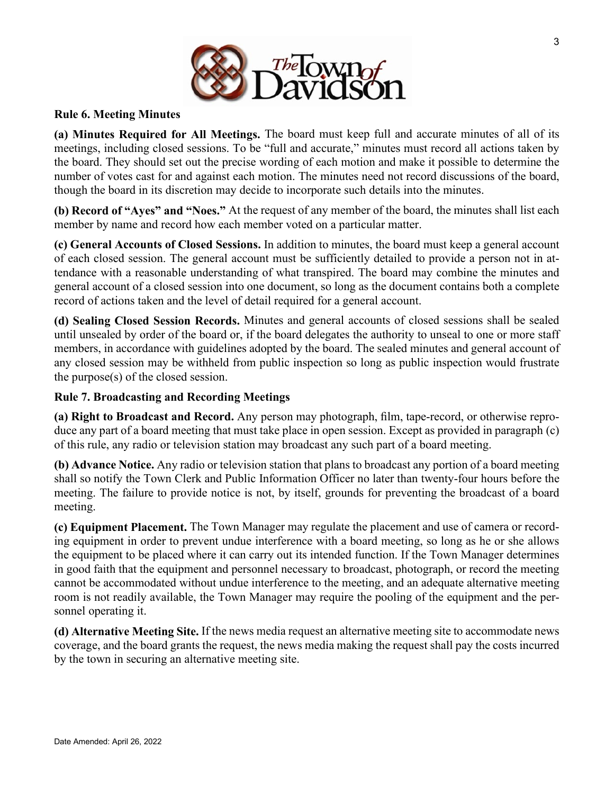

#### **Rule 6. Meeting Minutes**

**(a) Minutes Required for All Meetings.** The board must keep full and accurate minutes of all of its meetings, including closed sessions. To be "full and accurate," minutes must record all actions taken by the board. They should set out the precise wording of each motion and make it possible to determine the number of votes cast for and against each motion. The minutes need not record discussions of the board, though the board in its discretion may decide to incorporate such details into the minutes.

**(b) Record of "Ayes" and "Noes."** At the request of any member of the board, the minutes shall list each member by name and record how each member voted on a particular matter.

**(c) General Accounts of Closed Sessions.** In addition to minutes, the board must keep a general account of each closed session. The general account must be sufficiently detailed to provide a person not in attendance with a reasonable understanding of what transpired. The board may combine the minutes and general account of a closed session into one document, so long as the document contains both a complete record of actions taken and the level of detail required for a general account.

**(d) Sealing Closed Session Records.** Minutes and general accounts of closed sessions shall be sealed until unsealed by order of the board or, if the board delegates the authority to unseal to one or more staff members, in accordance with guidelines adopted by the board. The sealed minutes and general account of any closed session may be withheld from public inspection so long as public inspection would frustrate the purpose(s) of the closed session.

#### **Rule 7. Broadcasting and Recording Meetings**

**(a) Right to Broadcast and Record.** Any person may photograph, film, tape-record, or otherwise reproduce any part of a board meeting that must take place in open session. Except as provided in paragraph (c) of this rule, any radio or television station may broadcast any such part of a board meeting.

**(b) Advance Notice.** Any radio or television station that plans to broadcast any portion of a board meeting shall so notify the Town Clerk and Public Information Officer no later than twenty-four hours before the meeting. The failure to provide notice is not, by itself, grounds for preventing the broadcast of a board meeting.

**(c) Equipment Placement.** The Town Manager may regulate the placement and use of camera or recording equipment in order to prevent undue interference with a board meeting, so long as he or she allows the equipment to be placed where it can carry out its intended function. If the Town Manager determines in good faith that the equipment and personnel necessary to broadcast, photograph, or record the meeting cannot be accommodated without undue interference to the meeting, and an adequate alternative meeting room is not readily available, the Town Manager may require the pooling of the equipment and the personnel operating it.

**(d) Alternative Meeting Site.** If the news media request an alternative meeting site to accommodate news coverage, and the board grants the request, the news media making the request shall pay the costs incurred by the town in securing an alternative meeting site.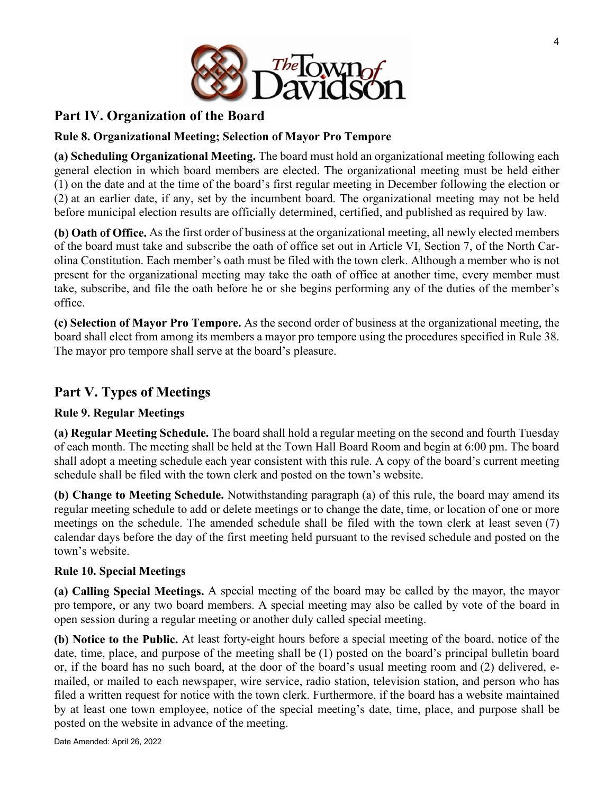

### **Part IV. Organization of the Board**

#### **Rule 8. Organizational Meeting; Selection of Mayor Pro Tempore**

**(a) Scheduling Organizational Meeting.** The board must hold an organizational meeting following each general election in which board members are elected. The organizational meeting must be held either (1) on the date and at the time of the board's first regular meeting in December following the election or (2) at an earlier date, if any, set by the incumbent board. The organizational meeting may not be held before municipal election results are officially determined, certified, and published as required by law.

**(b) Oath of Office.** As the first order of business at the organizational meeting, all newly elected members of the board must take and subscribe the oath of office set out in Article VI, Section 7, of the North Carolina Constitution. Each member's oath must be filed with the town clerk. Although a member who is not present for the organizational meeting may take the oath of office at another time, every member must take, subscribe, and file the oath before he or she begins performing any of the duties of the member's office.

**(c) Selection of Mayor Pro Tempore.** As the second order of business at the organizational meeting, the board shall elect from among its members a mayor pro tempore using the procedures specified in Rule 38. The mayor pro tempore shall serve at the board's pleasure.

### **Part V. Types of Meetings**

#### **Rule 9. Regular Meetings**

**(a) Regular Meeting Schedule.** The board shall hold a regular meeting on the second and fourth Tuesday of each month. The meeting shall be held at the Town Hall Board Room and begin at 6:00 pm. The board shall adopt a meeting schedule each year consistent with this rule. A copy of the board's current meeting schedule shall be filed with the town clerk and posted on the town's website.

**(b) Change to Meeting Schedule.** Notwithstanding paragraph (a) of this rule, the board may amend its regular meeting schedule to add or delete meetings or to change the date, time, or location of one or more meetings on the schedule. The amended schedule shall be filed with the town clerk at least seven (7) calendar days before the day of the first meeting held pursuant to the revised schedule and posted on the town's website.

#### **Rule 10. Special Meetings**

**(a) Calling Special Meetings.** A special meeting of the board may be called by the mayor, the mayor pro tempore, or any two board members. A special meeting may also be called by vote of the board in open session during a regular meeting or another duly called special meeting.

**(b) Notice to the Public.** At least forty-eight hours before a special meeting of the board, notice of the date, time, place, and purpose of the meeting shall be (1) posted on the board's principal bulletin board or, if the board has no such board, at the door of the board's usual meeting room and (2) delivered, emailed, or mailed to each newspaper, wire service, radio station, television station, and person who has filed a written request for notice with the town clerk. Furthermore, if the board has a website maintained by at least one town employee, notice of the special meeting's date, time, place, and purpose shall be posted on the website in advance of the meeting.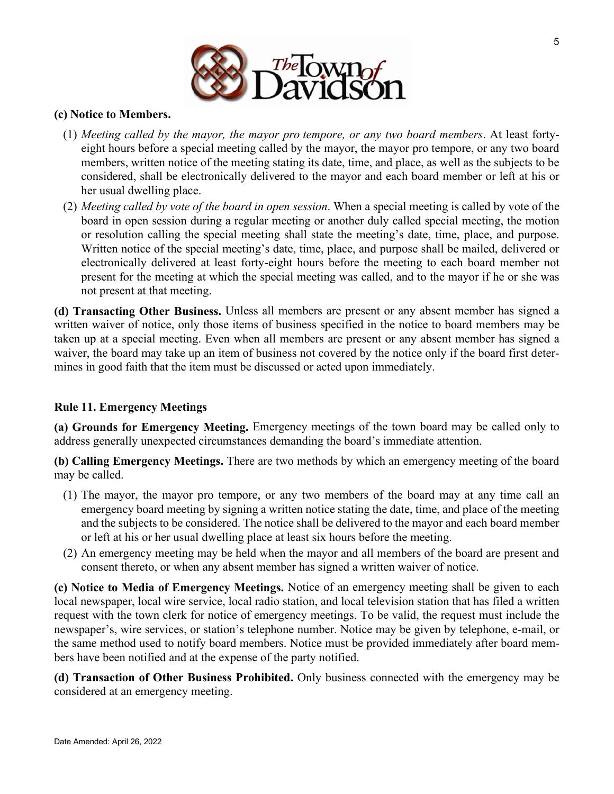

#### **(c) Notice to Members.**

- (1) *Meeting called by the mayor, the mayor pro tempore, or any two board members*. At least fortyeight hours before a special meeting called by the mayor, the mayor pro tempore, or any two board members, written notice of the meeting stating its date, time, and place, as well as the subjects to be considered, shall be electronically delivered to the mayor and each board member or left at his or her usual dwelling place.
- (2) *Meeting called by vote of the board in open session*. When a special meeting is called by vote of the board in open session during a regular meeting or another duly called special meeting, the motion or resolution calling the special meeting shall state the meeting's date, time, place, and purpose. Written notice of the special meeting's date, time, place, and purpose shall be mailed, delivered or electronically delivered at least forty-eight hours before the meeting to each board member not present for the meeting at which the special meeting was called, and to the mayor if he or she was not present at that meeting.

**(d) Transacting Other Business.** Unless all members are present or any absent member has signed a written waiver of notice, only those items of business specified in the notice to board members may be taken up at a special meeting. Even when all members are present or any absent member has signed a waiver, the board may take up an item of business not covered by the notice only if the board first determines in good faith that the item must be discussed or acted upon immediately.

#### **Rule 11. Emergency Meetings**

**(a) Grounds for Emergency Meeting.** Emergency meetings of the town board may be called only to address generally unexpected circumstances demanding the board's immediate attention.

**(b) Calling Emergency Meetings.** There are two methods by which an emergency meeting of the board may be called.

- (1) The mayor, the mayor pro tempore, or any two members of the board may at any time call an emergency board meeting by signing a written notice stating the date, time, and place of the meeting and the subjects to be considered. The notice shall be delivered to the mayor and each board member or left at his or her usual dwelling place at least six hours before the meeting.
- (2) An emergency meeting may be held when the mayor and all members of the board are present and consent thereto, or when any absent member has signed a written waiver of notice.

**(c) Notice to Media of Emergency Meetings.** Notice of an emergency meeting shall be given to each local newspaper, local wire service, local radio station, and local television station that has filed a written request with the town clerk for notice of emergency meetings. To be valid, the request must include the newspaper's, wire services, or station's telephone number. Notice may be given by telephone, e-mail, or the same method used to notify board members. Notice must be provided immediately after board members have been notified and at the expense of the party notified.

**(d) Transaction of Other Business Prohibited.** Only business connected with the emergency may be considered at an emergency meeting.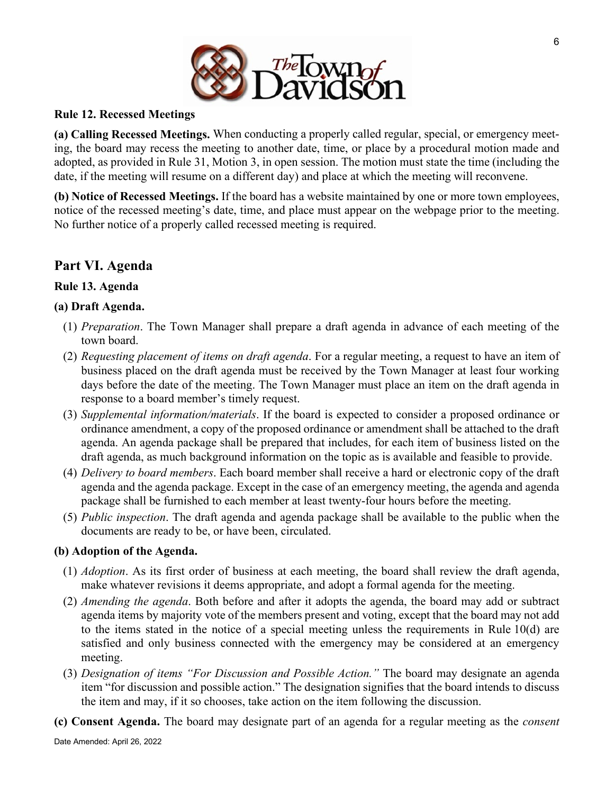

#### **Rule 12. Recessed Meetings**

**(a) Calling Recessed Meetings.** When conducting a properly called regular, special, or emergency meeting, the board may recess the meeting to another date, time, or place by a procedural motion made and adopted, as provided in Rule 31, Motion 3, in open session. The motion must state the time (including the date, if the meeting will resume on a different day) and place at which the meeting will reconvene.

**(b) Notice of Recessed Meetings.** If the board has a website maintained by one or more town employees, notice of the recessed meeting's date, time, and place must appear on the webpage prior to the meeting. No further notice of a properly called recessed meeting is required.

#### **Part VI. Agenda**

#### **Rule 13. Agenda**

#### **(a) Draft Agenda.**

- (1) *Preparation*. The Town Manager shall prepare a draft agenda in advance of each meeting of the town board.
- (2) *Requesting placement of items on draft agenda*. For a regular meeting, a request to have an item of business placed on the draft agenda must be received by the Town Manager at least four working days before the date of the meeting. The Town Manager must place an item on the draft agenda in response to a board member's timely request.
- (3) *Supplemental information/materials*. If the board is expected to consider a proposed ordinance or ordinance amendment, a copy of the proposed ordinance or amendment shall be attached to the draft agenda. An agenda package shall be prepared that includes, for each item of business listed on the draft agenda, as much background information on the topic as is available and feasible to provide.
- (4) *Delivery to board members*. Each board member shall receive a hard or electronic copy of the draft agenda and the agenda package. Except in the case of an emergency meeting, the agenda and agenda package shall be furnished to each member at least twenty-four hours before the meeting.
- (5) *Public inspection*. The draft agenda and agenda package shall be available to the public when the documents are ready to be, or have been, circulated.

#### **(b) Adoption of the Agenda.**

- (1) *Adoption*. As its first order of business at each meeting, the board shall review the draft agenda, make whatever revisions it deems appropriate, and adopt a formal agenda for the meeting.
- (2) *Amending the agenda*. Both before and after it adopts the agenda, the board may add or subtract agenda items by majority vote of the members present and voting, except that the board may not add to the items stated in the notice of a special meeting unless the requirements in Rule 10(d) are satisfied and only business connected with the emergency may be considered at an emergency meeting.
- (3) *Designation of items "For Discussion and Possible Action."* The board may designate an agenda item "for discussion and possible action." The designation signifies that the board intends to discuss the item and may, if it so chooses, take action on the item following the discussion.
- **(c) Consent Agenda.** The board may designate part of an agenda for a regular meeting as the *consent*

6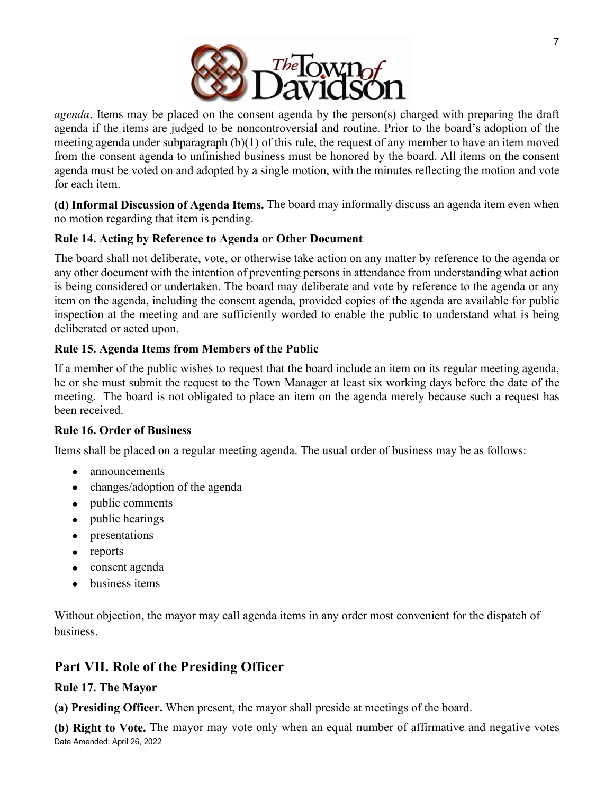

*agenda*. Items may be placed on the consent agenda by the person(s) charged with preparing the draft agenda if the items are judged to be noncontroversial and routine. Prior to the board's adoption of the meeting agenda under subparagraph (b)(1) of this rule, the request of any member to have an item moved from the consent agenda to unfinished business must be honored by the board. All items on the consent agenda must be voted on and adopted by a single motion, with the minutes reflecting the motion and vote for each item.

**(d) Informal Discussion of Agenda Items.** The board may informally discuss an agenda item even when no motion regarding that item is pending.

#### **Rule 14. Acting by Reference to Agenda or Other Document**

The board shall not deliberate, vote, or otherwise take action on any matter by reference to the agenda or any other document with the intention of preventing persons in attendance from understanding what action is being considered or undertaken. The board may deliberate and vote by reference to the agenda or any item on the agenda, including the consent agenda, provided copies of the agenda are available for public inspection at the meeting and are sufficiently worded to enable the public to understand what is being deliberated or acted upon.

#### **Rule 15. Agenda Items from Members of the Public**

If a member of the public wishes to request that the board include an item on its regular meeting agenda, he or she must submit the request to the Town Manager at least six working days before the date of the meeting. The board is not obligated to place an item on the agenda merely because such a request has been received.

#### **Rule 16. Order of Business**

Items shall be placed on a regular meeting agenda. The usual order of business may be as follows:

- announcements
- changes/adoption of the agenda
- public comments
- public hearings
- presentations
- reports
- consent agenda
- business items

Without objection, the mayor may call agenda items in any order most convenient for the dispatch of business.

# **Part VII. Role of the Presiding Officer**

### **Rule 17. The Mayor**

**(a) Presiding Officer.** When present, the mayor shall preside at meetings of the board.

Date Amended: April 26, 2022 **(b) Right to Vote.** The mayor may vote only when an equal number of affirmative and negative votes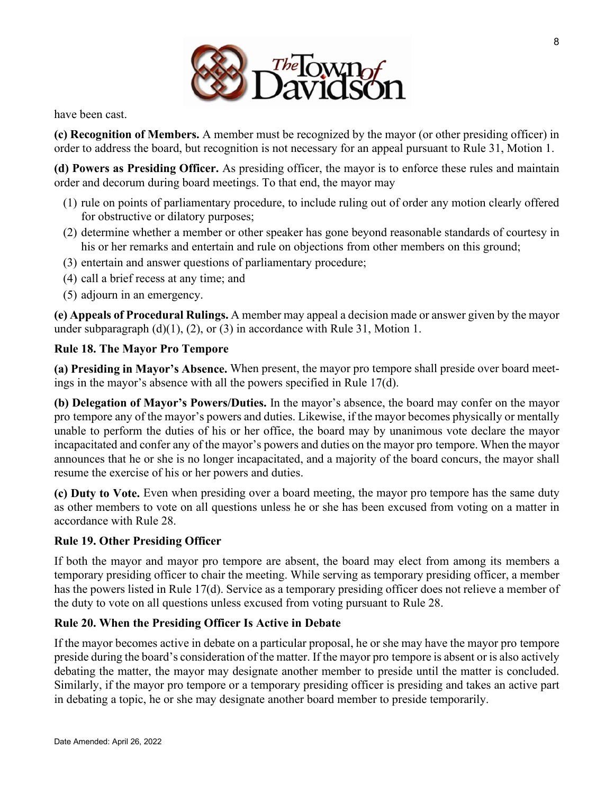

have been cast.

**(c) Recognition of Members.** A member must be recognized by the mayor (or other presiding officer) in order to address the board, but recognition is not necessary for an appeal pursuant to Rule 31, Motion 1.

**(d) Powers as Presiding Officer.** As presiding officer, the mayor is to enforce these rules and maintain order and decorum during board meetings. To that end, the mayor may

- (1) rule on points of parliamentary procedure, to include ruling out of order any motion clearly offered for obstructive or dilatory purposes;
- (2) determine whether a member or other speaker has gone beyond reasonable standards of courtesy in his or her remarks and entertain and rule on objections from other members on this ground;
- (3) entertain and answer questions of parliamentary procedure;
- (4) call a brief recess at any time; and
- (5) adjourn in an emergency.

**(e) Appeals of Procedural Rulings.** A member may appeal a decision made or answer given by the mayor under subparagraph  $(d)(1)$ ,  $(2)$ , or  $(3)$  in accordance with Rule 31, Motion 1.

#### **Rule 18. The Mayor Pro Tempore**

**(a) Presiding in Mayor's Absence.** When present, the mayor pro tempore shall preside over board meetings in the mayor's absence with all the powers specified in Rule 17(d).

**(b) Delegation of Mayor's Powers/Duties.** In the mayor's absence, the board may confer on the mayor pro tempore any of the mayor's powers and duties. Likewise, if the mayor becomes physically or mentally unable to perform the duties of his or her office, the board may by unanimous vote declare the mayor incapacitated and confer any of the mayor's powers and duties on the mayor pro tempore. When the mayor announces that he or she is no longer incapacitated, and a majority of the board concurs, the mayor shall resume the exercise of his or her powers and duties.

**(c) Duty to Vote.** Even when presiding over a board meeting, the mayor pro tempore has the same duty as other members to vote on all questions unless he or she has been excused from voting on a matter in accordance with Rule 28.

#### **Rule 19. Other Presiding Officer**

If both the mayor and mayor pro tempore are absent, the board may elect from among its members a temporary presiding officer to chair the meeting. While serving as temporary presiding officer, a member has the powers listed in Rule 17(d). Service as a temporary presiding officer does not relieve a member of the duty to vote on all questions unless excused from voting pursuant to Rule 28.

#### **Rule 20. When the Presiding Officer Is Active in Debate**

If the mayor becomes active in debate on a particular proposal, he or she may have the mayor pro tempore preside during the board's consideration of the matter. If the mayor pro tempore is absent or is also actively debating the matter, the mayor may designate another member to preside until the matter is concluded. Similarly, if the mayor pro tempore or a temporary presiding officer is presiding and takes an active part in debating a topic, he or she may designate another board member to preside temporarily.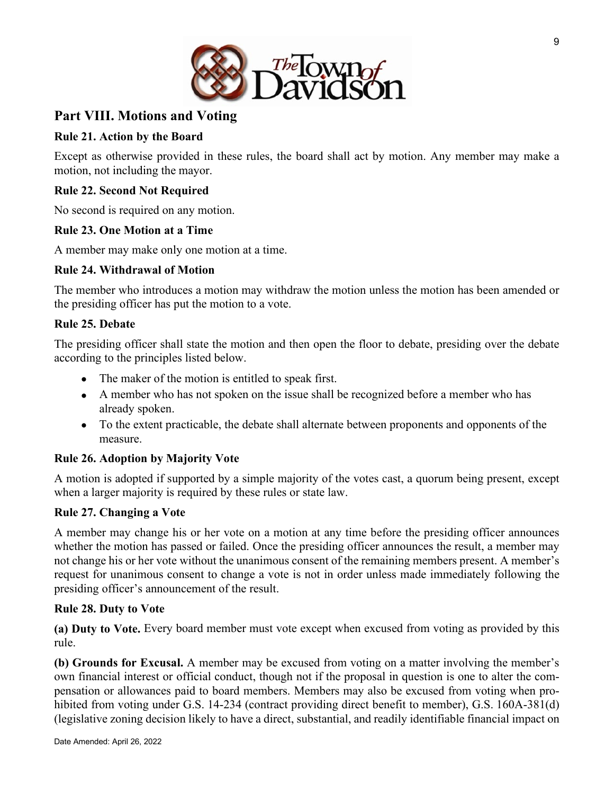

### **Part VIII. Motions and Voting**

#### **Rule 21. Action by the Board**

Except as otherwise provided in these rules, the board shall act by motion. Any member may make a motion, not including the mayor.

#### **Rule 22. Second Not Required**

No second is required on any motion.

#### **Rule 23. One Motion at a Time**

A member may make only one motion at a time.

#### **Rule 24. Withdrawal of Motion**

The member who introduces a motion may withdraw the motion unless the motion has been amended or the presiding officer has put the motion to a vote.

#### **Rule 25. Debate**

The presiding officer shall state the motion and then open the floor to debate, presiding over the debate according to the principles listed below.

- The maker of the motion is entitled to speak first.
- A member who has not spoken on the issue shall be recognized before a member who has already spoken.
- To the extent practicable, the debate shall alternate between proponents and opponents of the measure.

#### **Rule 26. Adoption by Majority Vote**

A motion is adopted if supported by a simple majority of the votes cast, a quorum being present, except when a larger majority is required by these rules or state law.

#### **Rule 27. Changing a Vote**

A member may change his or her vote on a motion at any time before the presiding officer announces whether the motion has passed or failed. Once the presiding officer announces the result, a member may not change his or her vote without the unanimous consent of the remaining members present. A member's request for unanimous consent to change a vote is not in order unless made immediately following the presiding officer's announcement of the result.

#### **Rule 28. Duty to Vote**

**(a) Duty to Vote.** Every board member must vote except when excused from voting as provided by this rule.

**(b) Grounds for Excusal.** A member may be excused from voting on a matter involving the member's own financial interest or official conduct, though not if the proposal in question is one to alter the compensation or allowances paid to board members. Members may also be excused from voting when prohibited from voting under G.S. 14-234 (contract providing direct benefit to member), G.S. 160A-381(d) (legislative zoning decision likely to have a direct, substantial, and readily identifiable financial impact on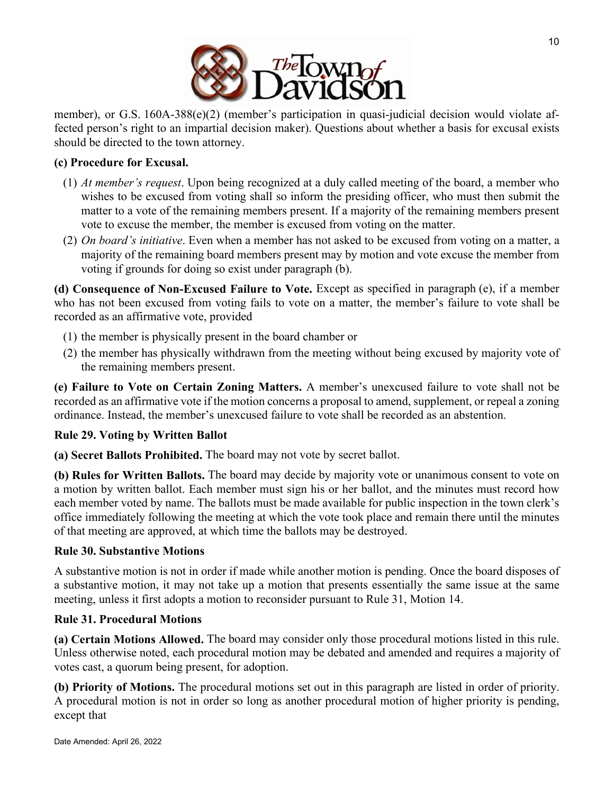

member), or G.S. 160A-388(e)(2) (member's participation in quasi-judicial decision would violate affected person's right to an impartial decision maker). Questions about whether a basis for excusal exists should be directed to the town attorney.

#### **(c) Procedure for Excusal.**

- (1) *At member's request*. Upon being recognized at a duly called meeting of the board, a member who wishes to be excused from voting shall so inform the presiding officer, who must then submit the matter to a vote of the remaining members present. If a majority of the remaining members present vote to excuse the member, the member is excused from voting on the matter.
- (2) *On board's initiative*. Even when a member has not asked to be excused from voting on a matter, a majority of the remaining board members present may by motion and vote excuse the member from voting if grounds for doing so exist under paragraph (b).

**(d) Consequence of Non-Excused Failure to Vote.** Except as specified in paragraph (e), if a member who has not been excused from voting fails to vote on a matter, the member's failure to vote shall be recorded as an affirmative vote, provided

- (1) the member is physically present in the board chamber or
- (2) the member has physically withdrawn from the meeting without being excused by majority vote of the remaining members present.

**(e) Failure to Vote on Certain Zoning Matters.** A member's unexcused failure to vote shall not be recorded as an affirmative vote if the motion concerns a proposal to amend, supplement, or repeal a zoning ordinance. Instead, the member's unexcused failure to vote shall be recorded as an abstention.

#### **Rule 29. Voting by Written Ballot**

**(a) Secret Ballots Prohibited.** The board may not vote by secret ballot.

**(b) Rules for Written Ballots.** The board may decide by majority vote or unanimous consent to vote on a motion by written ballot. Each member must sign his or her ballot, and the minutes must record how each member voted by name. The ballots must be made available for public inspection in the town clerk's office immediately following the meeting at which the vote took place and remain there until the minutes of that meeting are approved, at which time the ballots may be destroyed.

#### **Rule 30. Substantive Motions**

A substantive motion is not in order if made while another motion is pending. Once the board disposes of a substantive motion, it may not take up a motion that presents essentially the same issue at the same meeting, unless it first adopts a motion to reconsider pursuant to Rule 31, Motion 14.

#### **Rule 31. Procedural Motions**

**(a) Certain Motions Allowed.** The board may consider only those procedural motions listed in this rule. Unless otherwise noted, each procedural motion may be debated and amended and requires a majority of votes cast, a quorum being present, for adoption.

**(b) Priority of Motions.** The procedural motions set out in this paragraph are listed in order of priority. A procedural motion is not in order so long as another procedural motion of higher priority is pending, except that

10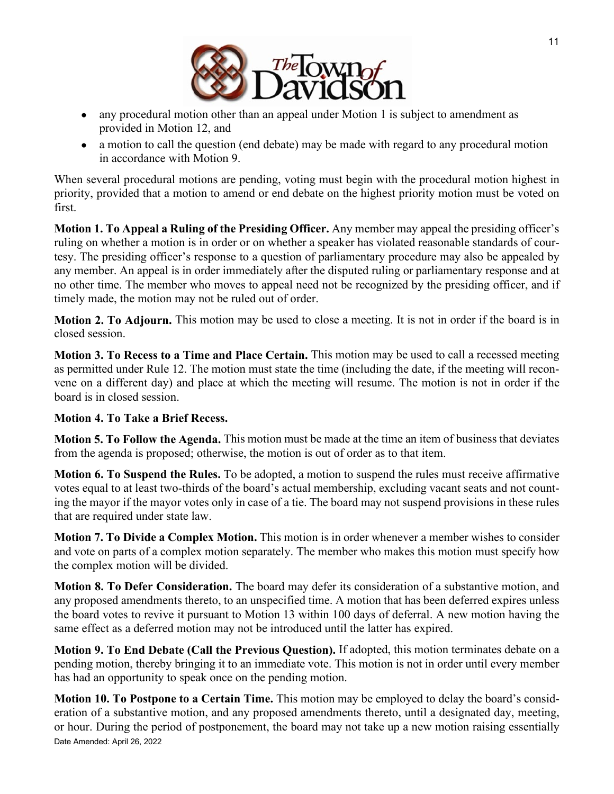

- any procedural motion other than an appeal under Motion 1 is subject to amendment as provided in Motion 12, and
- a motion to call the question (end debate) may be made with regard to any procedural motion in accordance with Motion 9.

When several procedural motions are pending, voting must begin with the procedural motion highest in priority, provided that a motion to amend or end debate on the highest priority motion must be voted on first.

**Motion 1. To Appeal a Ruling of the Presiding Officer.** Any member may appeal the presiding officer's ruling on whether a motion is in order or on whether a speaker has violated reasonable standards of courtesy. The presiding officer's response to a question of parliamentary procedure may also be appealed by any member. An appeal is in order immediately after the disputed ruling or parliamentary response and at no other time. The member who moves to appeal need not be recognized by the presiding officer, and if timely made, the motion may not be ruled out of order.

**Motion 2. To Adjourn.** This motion may be used to close a meeting. It is not in order if the board is in closed session.

**Motion 3. To Recess to a Time and Place Certain.** This motion may be used to call a recessed meeting as permitted under Rule 12. The motion must state the time (including the date, if the meeting will reconvene on a different day) and place at which the meeting will resume. The motion is not in order if the board is in closed session.

#### **Motion 4. To Take a Brief Recess.**

**Motion 5. To Follow the Agenda.** This motion must be made at the time an item of business that deviates from the agenda is proposed; otherwise, the motion is out of order as to that item.

**Motion 6. To Suspend the Rules.** To be adopted, a motion to suspend the rules must receive affirmative votes equal to at least two-thirds of the board's actual membership, excluding vacant seats and not counting the mayor if the mayor votes only in case of a tie. The board may not suspend provisions in these rules that are required under state law.

**Motion 7. To Divide a Complex Motion.** This motion is in order whenever a member wishes to consider and vote on parts of a complex motion separately. The member who makes this motion must specify how the complex motion will be divided.

**Motion 8. To Defer Consideration.** The board may defer its consideration of a substantive motion, and any proposed amendments thereto, to an unspecified time. A motion that has been deferred expires unless the board votes to revive it pursuant to Motion 13 within 100 days of deferral. A new motion having the same effect as a deferred motion may not be introduced until the latter has expired.

**Motion 9. To End Debate (Call the Previous Question).** If adopted, this motion terminates debate on a pending motion, thereby bringing it to an immediate vote. This motion is not in order until every member has had an opportunity to speak once on the pending motion.

Date Amended: April 26, 2022 **Motion 10. To Postpone to a Certain Time.** This motion may be employed to delay the board's consideration of a substantive motion, and any proposed amendments thereto, until a designated day, meeting, or hour. During the period of postponement, the board may not take up a new motion raising essentially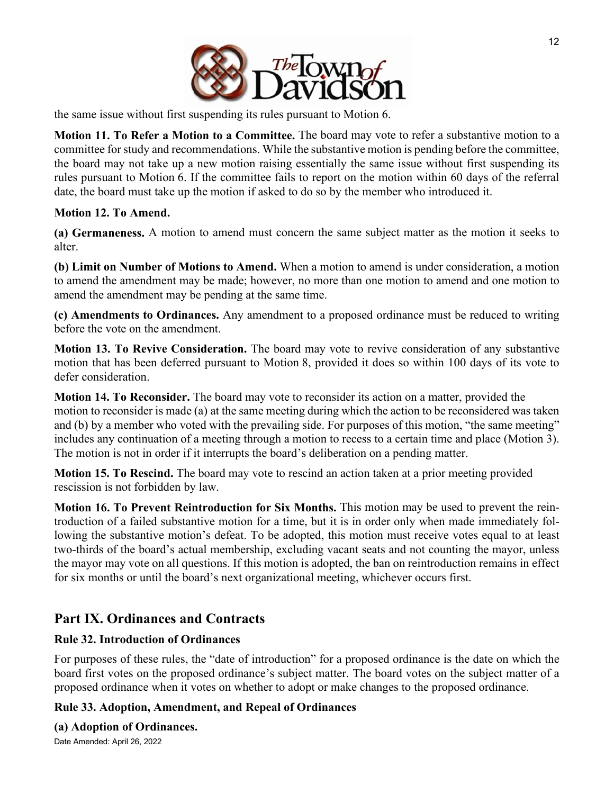

the same issue without first suspending its rules pursuant to Motion 6.

**Motion 11. To Refer a Motion to a Committee.** The board may vote to refer a substantive motion to a committee for study and recommendations. While the substantive motion is pending before the committee, the board may not take up a new motion raising essentially the same issue without first suspending its rules pursuant to Motion 6. If the committee fails to report on the motion within 60 days of the referral date, the board must take up the motion if asked to do so by the member who introduced it.

#### **Motion 12. To Amend.**

**(a) Germaneness.** A motion to amend must concern the same subject matter as the motion it seeks to alter.

**(b) Limit on Number of Motions to Amend.** When a motion to amend is under consideration, a motion to amend the amendment may be made; however, no more than one motion to amend and one motion to amend the amendment may be pending at the same time.

**(c) Amendments to Ordinances.** Any amendment to a proposed ordinance must be reduced to writing before the vote on the amendment.

**Motion 13. To Revive Consideration.** The board may vote to revive consideration of any substantive motion that has been deferred pursuant to Motion 8, provided it does so within 100 days of its vote to defer consideration.

**Motion 14. To Reconsider.** The board may vote to reconsider its action on a matter, provided the motion to reconsider is made (a) at the same meeting during which the action to be reconsidered was taken and (b) by a member who voted with the prevailing side. For purposes of this motion, "the same meeting" includes any continuation of a meeting through a motion to recess to a certain time and place (Motion 3). The motion is not in order if it interrupts the board's deliberation on a pending matter.

**Motion 15. To Rescind.** The board may vote to rescind an action taken at a prior meeting provided rescission is not forbidden by law.

**Motion 16. To Prevent Reintroduction for Six Months.** This motion may be used to prevent the reintroduction of a failed substantive motion for a time, but it is in order only when made immediately following the substantive motion's defeat. To be adopted, this motion must receive votes equal to at least two-thirds of the board's actual membership, excluding vacant seats and not counting the mayor, unless the mayor may vote on all questions. If this motion is adopted, the ban on reintroduction remains in effect for six months or until the board's next organizational meeting, whichever occurs first.

### **Part IX. Ordinances and Contracts**

#### **Rule 32. Introduction of Ordinances**

For purposes of these rules, the "date of introduction" for a proposed ordinance is the date on which the board first votes on the proposed ordinance's subject matter. The board votes on the subject matter of a proposed ordinance when it votes on whether to adopt or make changes to the proposed ordinance.

#### **Rule 33. Adoption, Amendment, and Repeal of Ordinances**

#### **(a) Adoption of Ordinances.**

Date Amended: April 26, 2022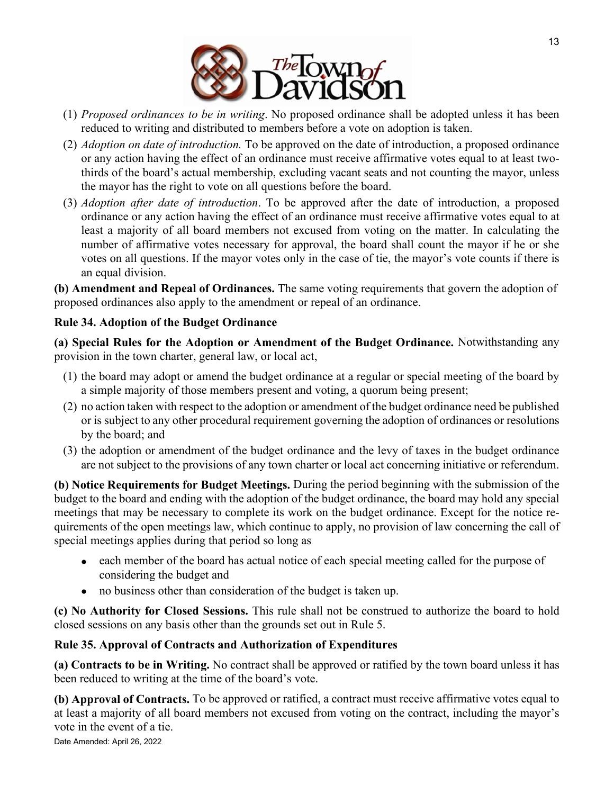

- (1) *Proposed ordinances to be in writing*. No proposed ordinance shall be adopted unless it has been reduced to writing and distributed to members before a vote on adoption is taken.
- (2) *Adoption on date of introduction.* To be approved on the date of introduction, a proposed ordinance or any action having the effect of an ordinance must receive affirmative votes equal to at least twothirds of the board's actual membership, excluding vacant seats and not counting the mayor, unless the mayor has the right to vote on all questions before the board.
- (3) *Adoption after date of introduction*. To be approved after the date of introduction, a proposed ordinance or any action having the effect of an ordinance must receive affirmative votes equal to at least a majority of all board members not excused from voting on the matter. In calculating the number of affirmative votes necessary for approval, the board shall count the mayor if he or she votes on all questions. If the mayor votes only in the case of tie, the mayor's vote counts if there is an equal division.

**(b) Amendment and Repeal of Ordinances.** The same voting requirements that govern the adoption of proposed ordinances also apply to the amendment or repeal of an ordinance.

#### **Rule 34. Adoption of the Budget Ordinance**

**(a) Special Rules for the Adoption or Amendment of the Budget Ordinance.** Notwithstanding any provision in the town charter, general law, or local act,

- (1) the board may adopt or amend the budget ordinance at a regular or special meeting of the board by a simple majority of those members present and voting, a quorum being present;
- (2) no action taken with respect to the adoption or amendment of the budget ordinance need be published or is subject to any other procedural requirement governing the adoption of ordinances or resolutions by the board; and
- (3) the adoption or amendment of the budget ordinance and the levy of taxes in the budget ordinance are not subject to the provisions of any town charter or local act concerning initiative or referendum.

**(b) Notice Requirements for Budget Meetings.** During the period beginning with the submission of the budget to the board and ending with the adoption of the budget ordinance, the board may hold any special meetings that may be necessary to complete its work on the budget ordinance. Except for the notice requirements of the open meetings law, which continue to apply, no provision of law concerning the call of special meetings applies during that period so long as

- each member of the board has actual notice of each special meeting called for the purpose of considering the budget and
- no business other than consideration of the budget is taken up.

**(c) No Authority for Closed Sessions.** This rule shall not be construed to authorize the board to hold closed sessions on any basis other than the grounds set out in Rule 5.

#### **Rule 35. Approval of Contracts and Authorization of Expenditures**

**(a) Contracts to be in Writing.** No contract shall be approved or ratified by the town board unless it has been reduced to writing at the time of the board's vote.

**(b) Approval of Contracts.** To be approved or ratified, a contract must receive affirmative votes equal to at least a majority of all board members not excused from voting on the contract, including the mayor's vote in the event of a tie.

```
Date Amended: April 26, 2022
```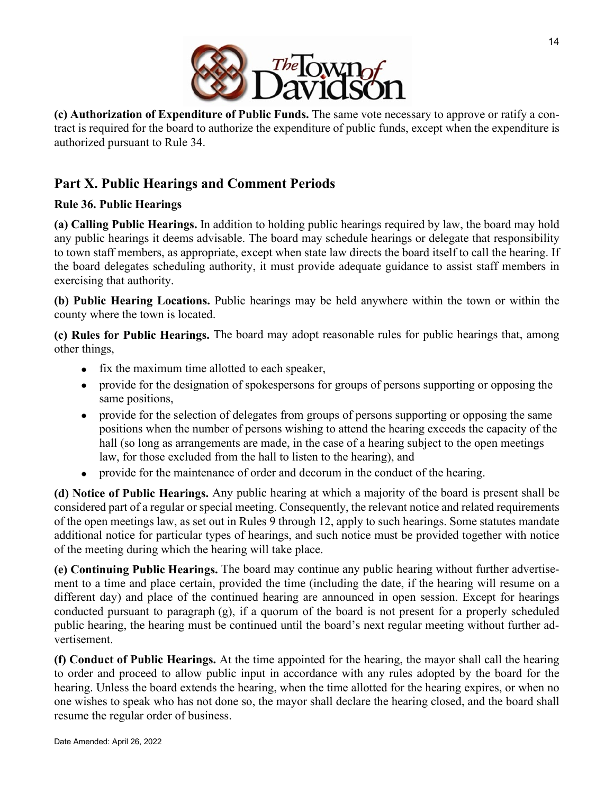

**(c) Authorization of Expenditure of Public Funds.** The same vote necessary to approve or ratify a contract is required for the board to authorize the expenditure of public funds, except when the expenditure is authorized pursuant to Rule 34.

# **Part X. Public Hearings and Comment Periods**

#### **Rule 36. Public Hearings**

**(a) Calling Public Hearings.** In addition to holding public hearings required by law, the board may hold any public hearings it deems advisable. The board may schedule hearings or delegate that responsibility to town staff members, as appropriate, except when state law directs the board itself to call the hearing. If the board delegates scheduling authority, it must provide adequate guidance to assist staff members in exercising that authority.

**(b) Public Hearing Locations.** Public hearings may be held anywhere within the town or within the county where the town is located.

**(c) Rules for Public Hearings.** The board may adopt reasonable rules for public hearings that, among other things,

- fix the maximum time allotted to each speaker,
- provide for the designation of spokespersons for groups of persons supporting or opposing the same positions,
- provide for the selection of delegates from groups of persons supporting or opposing the same positions when the number of persons wishing to attend the hearing exceeds the capacity of the hall (so long as arrangements are made, in the case of a hearing subject to the open meetings law, for those excluded from the hall to listen to the hearing), and
- provide for the maintenance of order and decorum in the conduct of the hearing.

**(d) Notice of Public Hearings.** Any public hearing at which a majority of the board is present shall be considered part of a regular or special meeting. Consequently, the relevant notice and related requirements of the open meetings law, as set out in Rules 9 through 12, apply to such hearings. Some statutes mandate additional notice for particular types of hearings, and such notice must be provided together with notice of the meeting during which the hearing will take place.

**(e) Continuing Public Hearings.** The board may continue any public hearing without further advertisement to a time and place certain, provided the time (including the date, if the hearing will resume on a different day) and place of the continued hearing are announced in open session. Except for hearings conducted pursuant to paragraph (g), if a quorum of the board is not present for a properly scheduled public hearing, the hearing must be continued until the board's next regular meeting without further advertisement.

**(f) Conduct of Public Hearings.** At the time appointed for the hearing, the mayor shall call the hearing to order and proceed to allow public input in accordance with any rules adopted by the board for the hearing. Unless the board extends the hearing, when the time allotted for the hearing expires, or when no one wishes to speak who has not done so, the mayor shall declare the hearing closed, and the board shall resume the regular order of business.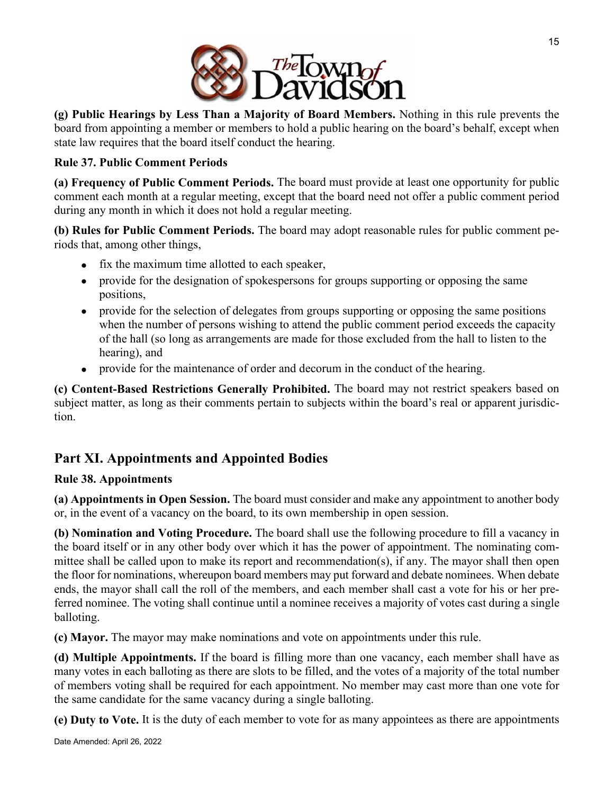

**(g) Public Hearings by Less Than a Majority of Board Members.** Nothing in this rule prevents the board from appointing a member or members to hold a public hearing on the board's behalf, except when state law requires that the board itself conduct the hearing.

#### **Rule 37. Public Comment Periods**

**(a) Frequency of Public Comment Periods.** The board must provide at least one opportunity for public comment each month at a regular meeting, except that the board need not offer a public comment period during any month in which it does not hold a regular meeting.

**(b) Rules for Public Comment Periods.** The board may adopt reasonable rules for public comment periods that, among other things,

- fix the maximum time allotted to each speaker,
- provide for the designation of spokespersons for groups supporting or opposing the same positions,
- provide for the selection of delegates from groups supporting or opposing the same positions when the number of persons wishing to attend the public comment period exceeds the capacity of the hall (so long as arrangements are made for those excluded from the hall to listen to the hearing), and
- provide for the maintenance of order and decorum in the conduct of the hearing.

**(c) Content-Based Restrictions Generally Prohibited.** The board may not restrict speakers based on subject matter, as long as their comments pertain to subjects within the board's real or apparent jurisdiction.

# **Part XI. Appointments and Appointed Bodies**

#### **Rule 38. Appointments**

**(a) Appointments in Open Session.** The board must consider and make any appointment to another body or, in the event of a vacancy on the board, to its own membership in open session.

**(b) Nomination and Voting Procedure.** The board shall use the following procedure to fill a vacancy in the board itself or in any other body over which it has the power of appointment. The nominating committee shall be called upon to make its report and recommendation(s), if any. The mayor shall then open the floor for nominations, whereupon board members may put forward and debate nominees. When debate ends, the mayor shall call the roll of the members, and each member shall cast a vote for his or her preferred nominee. The voting shall continue until a nominee receives a majority of votes cast during a single balloting.

**(c) Mayor.** The mayor may make nominations and vote on appointments under this rule.

**(d) Multiple Appointments.** If the board is filling more than one vacancy, each member shall have as many votes in each balloting as there are slots to be filled, and the votes of a majority of the total number of members voting shall be required for each appointment. No member may cast more than one vote for the same candidate for the same vacancy during a single balloting.

**(e) Duty to Vote.** It is the duty of each member to vote for as many appointees as there are appointments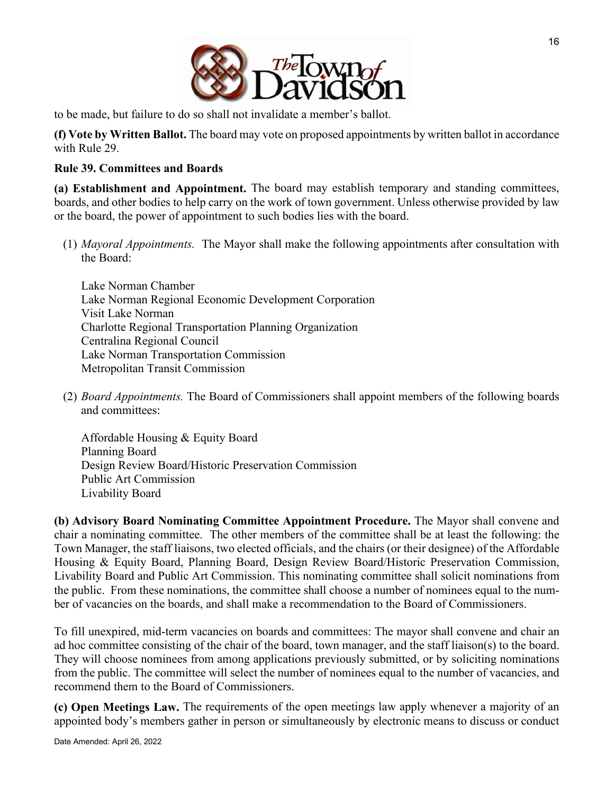

to be made, but failure to do so shall not invalidate a member's ballot.

**(f) Vote by Written Ballot.** The board may vote on proposed appointments by written ballot in accordance with Rule 29.

#### **Rule 39. Committees and Boards**

**(a) Establishment and Appointment.** The board may establish temporary and standing committees, boards, and other bodies to help carry on the work of town government. Unless otherwise provided by law or the board, the power of appointment to such bodies lies with the board.

(1) *Mayoral Appointments.* The Mayor shall make the following appointments after consultation with the Board:

Lake Norman Chamber Lake Norman Regional Economic Development Corporation Visit Lake Norman Charlotte Regional Transportation Planning Organization Centralina Regional Council Lake Norman Transportation Commission Metropolitan Transit Commission

(2) *Board Appointments.* The Board of Commissioners shall appoint members of the following boards and committees:

Affordable Housing & Equity Board Planning Board Design Review Board/Historic Preservation Commission Public Art Commission Livability Board

**(b) Advisory Board Nominating Committee Appointment Procedure.** The Mayor shall convene and chair a nominating committee. The other members of the committee shall be at least the following: the Town Manager, the staff liaisons, two elected officials, and the chairs (or their designee) of the Affordable Housing & Equity Board, Planning Board, Design Review Board/Historic Preservation Commission, Livability Board and Public Art Commission. This nominating committee shall solicit nominations from the public. From these nominations, the committee shall choose a number of nominees equal to the number of vacancies on the boards, and shall make a recommendation to the Board of Commissioners.

To fill unexpired, mid-term vacancies on boards and committees: The mayor shall convene and chair an ad hoc committee consisting of the chair of the board, town manager, and the staff liaison(s) to the board. They will choose nominees from among applications previously submitted, or by soliciting nominations from the public. The committee will select the number of nominees equal to the number of vacancies, and recommend them to the Board of Commissioners.

**(c) Open Meetings Law.** The requirements of the open meetings law apply whenever a majority of an appointed body's members gather in person or simultaneously by electronic means to discuss or conduct